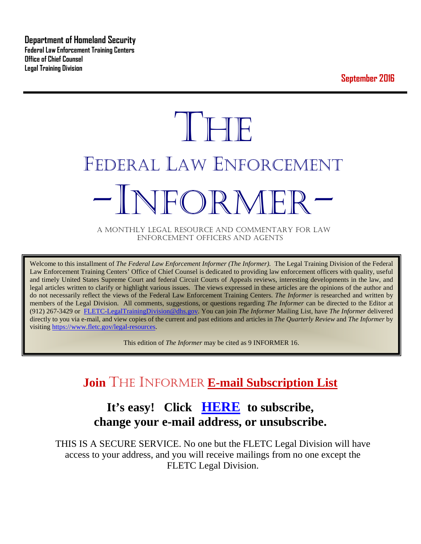**Department of Homeland Security Federal Law Enforcement Training Centers Office of Chief Counsel Legal Training Division** 

**September 2016**

# **THE** FEDERAL LAW ENFORCEMENT -INFORMER- A MONTHLY LEGAL RESOURCE AND COMMENTARY FOR LAW

ENFORCEMENT OFFICERS AND AGENTS

Welcome to this installment of *The Federal Law Enforcement Informer (The Informer).* The Legal Training Division of the Federal Law Enforcement Training Centers' Office of Chief Counsel is dedicated to providing law enforcement officers with quality, useful and timely United States Supreme Court and federal Circuit Courts of Appeals reviews, interesting developments in the law, and legal articles written to clarify or highlight various issues. The views expressed in these articles are the opinions of the author and do not necessarily reflect the views of the Federal Law Enforcement Training Centers. *The Informer* is researched and written by members of the Legal Division. All comments, suggestions, or questions regarding *The Informer* can be directed to the Editor at (912) 267-3429 or [FLETC-LegalTrainingDivision@dhs.gov.](mailto:FLETC-LegalTrainingDivision@dhs.gov) You can join *The Informer* Mailing List, have *The Informer* delivered directly to you via e-mail, and view copies of the current and past editions and articles in *The Quarterly Review* and *The Informer* by visiting [https://www.fletc.gov/legal-resources.](https://www.fletc.gov/legal-resources) 

This edition of *The Informer* may be cited as 9 INFORMER 16.

# **Join** THE INFORMER **E-mail Subscription List**

# **It's easy! Click [HERE](http://peach.ease.lsoft.com/scripts/wa.exe?SUBED1=fletclgd&A=1) to subscribe, change your e-mail address, or unsubscribe.**

THIS IS A SECURE SERVICE. No one but the FLETC Legal Division will have access to your address, and you will receive mailings from no one except the FLETC Legal Division.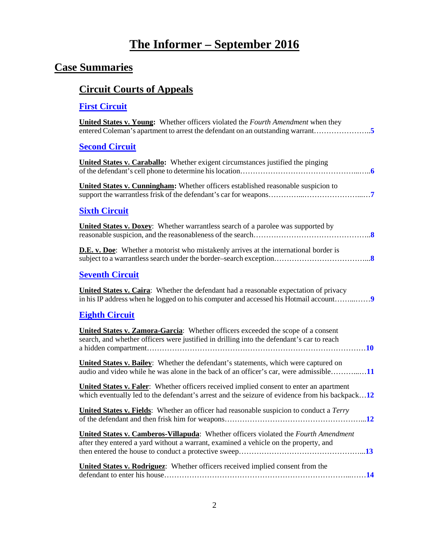# **The Informer – September 2016**

# **Case Summaries**

# **[Circuit Courts of Appeals](#page-4-0)**

## **[First Circuit](#page-4-1)**

| <b>United States v. Young:</b> Whether officers violated the <i>Fourth Amendment</i> when they<br>entered Coleman's apartment to arrest the defendant on an outstanding warrant5                 |
|--------------------------------------------------------------------------------------------------------------------------------------------------------------------------------------------------|
| <b>Second Circuit</b>                                                                                                                                                                            |
| <b>United States v. Caraballo:</b> Whether exigent circumstances justified the pinging                                                                                                           |
| United States v. Cunningham: Whether officers established reasonable suspicion to                                                                                                                |
| <b>Sixth Circuit</b>                                                                                                                                                                             |
| <b>United States v. Doxey:</b> Whether warrantless search of a parolee was supported by                                                                                                          |
| <b>D.E.</b> v. Doe: Whether a motorist who mistakenly arrives at the international border is                                                                                                     |
| <b>Seventh Circuit</b>                                                                                                                                                                           |
| <b>United States v. Caira:</b> Whether the defendant had a reasonable expectation of privacy<br>in his IP address when he logged on to his computer and accessed his Hotmail account             |
| <b>Eighth Circuit</b>                                                                                                                                                                            |
| <b>United States v. Zamora-Garcia:</b> Whether officers exceeded the scope of a consent<br>search, and whether officers were justified in drilling into the defendant's car to reach             |
| <b>United States v. Bailey:</b> Whether the defendant's statements, which were captured on<br>audio and video while he was alone in the back of an officer's car, were admissible11              |
| <b>United States v. Faler:</b> Whether officers received implied consent to enter an apartment<br>which eventually led to the defendant's arrest and the seizure of evidence from his backpack12 |
| United States v. Fields: Whether an officer had reasonable suspicion to conduct a Terry                                                                                                          |
| <b>United States v. Camberos-Villapuda:</b> Whether officers violated the <i>Fourth Amendment</i><br>after they entered a yard without a warrant, examined a vehicle on the property, and        |
| <b>United States v. Rodriguez:</b> Whether officers received implied consent from the                                                                                                            |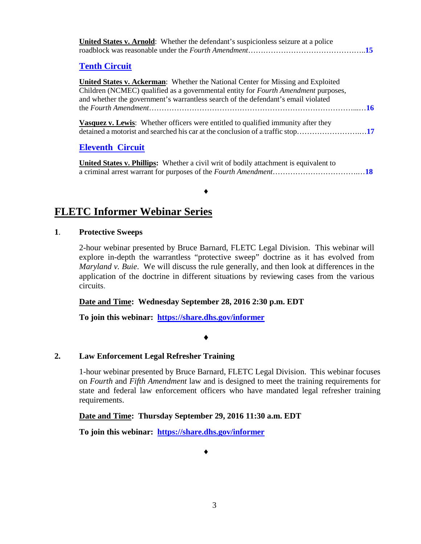| <b>United States v. Arnold:</b> Whether the defendant's suspicionless seizure at a police                                                                                                                                                                                 |
|---------------------------------------------------------------------------------------------------------------------------------------------------------------------------------------------------------------------------------------------------------------------------|
| <b>Tenth Circuit</b>                                                                                                                                                                                                                                                      |
| <b>United States v. Ackerman:</b> Whether the National Center for Missing and Exploited<br>Children (NCMEC) qualified as a governmental entity for <i>Fourth Amendment</i> purposes,<br>and whether the government's warrantless search of the defendant's email violated |
| <b>Vasquez v. Lewis:</b> Whether officers were entitled to qualified immunity after they                                                                                                                                                                                  |
| <b>Eleventh Circuit</b>                                                                                                                                                                                                                                                   |
| Inited Ctotegy Dkilling. Whather a givil write of hadily attachment is conjugated                                                                                                                                                                                         |

**United States v. Phillips:** Whether a civil writ of bodily attachment is equivalent to a criminal arrest warrant for purposes of the *Fourth Amendment*…………………………….…**[18](#page-17-1)**

♦

#### **FLETC Informer Webinar Series**

#### **1**. **Protective Sweeps**

2-hour webinar presented by Bruce Barnard, FLETC Legal Division. This webinar will explore in-depth the warrantless "protective sweep" doctrine as it has evolved from *Maryland v. Buie*. We will discuss the rule generally, and then look at differences in the application of the doctrine in different situations by reviewing cases from the various circuits.

#### **Date and Time: Wednesday September 28, 2016 2:30 p.m. EDT**

**To join this webinar: <https://share.dhs.gov/informer>**

#### ♦

#### **2. Law Enforcement Legal Refresher Training**

1-hour webinar presented by Bruce Barnard, FLETC Legal Division. This webinar focuses on *Fourth* and *Fifth Amendment* law and is designed to meet the training requirements for state and federal law enforcement officers who have mandated legal refresher training requirements.

#### **Date and Time: Thursday September 29, 2016 11:30 a.m. EDT**

**To join this webinar: <https://share.dhs.gov/informer>**

♦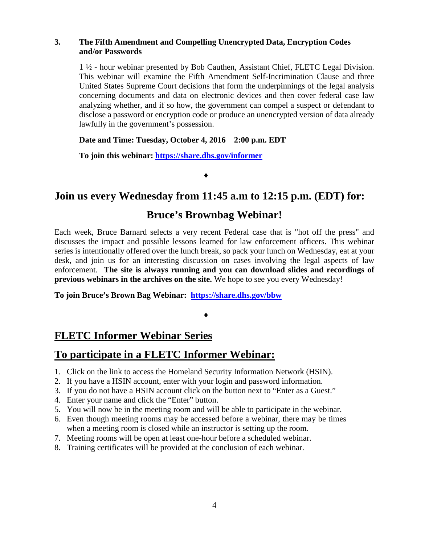#### **3. The Fifth Amendment and Compelling Unencrypted Data, Encryption Codes and/or Passwords**

1 ½ - hour webinar presented by Bob Cauthen, Assistant Chief, FLETC Legal Division. This webinar will examine the Fifth Amendment Self-Incrimination Clause and three United States Supreme Court decisions that form the underpinnings of the legal analysis concerning documents and data on electronic devices and then cover federal case law analyzing whether, and if so how, the government can compel a suspect or defendant to disclose a password or encryption code or produce an unencrypted version of data already lawfully in the government's possession.

#### **Date and Time: Tuesday, October 4, 2016 2:00 p.m. EDT**

**To join this webinar:<https://share.dhs.gov/informer>**

♦

# **Join us every Wednesday from 11:45 a.m to 12:15 p.m. (EDT) for:**

## **Bruce's Brownbag Webinar!**

Each week, Bruce Barnard selects a very recent Federal case that is "hot off the press" and discusses the impact and possible lessons learned for law enforcement officers. This webinar series is intentionally offered over the lunch break, so pack your lunch on Wednesday, eat at your desk, and join us for an interesting discussion on cases involving the legal aspects of law enforcement. **The site is always running and you can download slides and recordings of previous webinars in the archives on the site.** We hope to see you every Wednesday!

**To join Bruce's Brown Bag Webinar: <https://share.dhs.gov/bbw>**

#### ♦

# **FLETC Informer Webinar Series**

#### **To participate in a FLETC Informer Webinar:**

- 1. Click on the link to access the Homeland Security Information Network (HSIN).
- 2. If you have a HSIN account, enter with your login and password information.
- 3. If you do not have a HSIN account click on the button next to "Enter as a Guest."
- 4. Enter your name and click the "Enter" button.
- 5. You will now be in the meeting room and will be able to participate in the webinar.
- 6. Even though meeting rooms may be accessed before a webinar, there may be times when a meeting room is closed while an instructor is setting up the room.
- 7. Meeting rooms will be open at least one-hour before a scheduled webinar.
- 8. Training certificates will be provided at the conclusion of each webinar.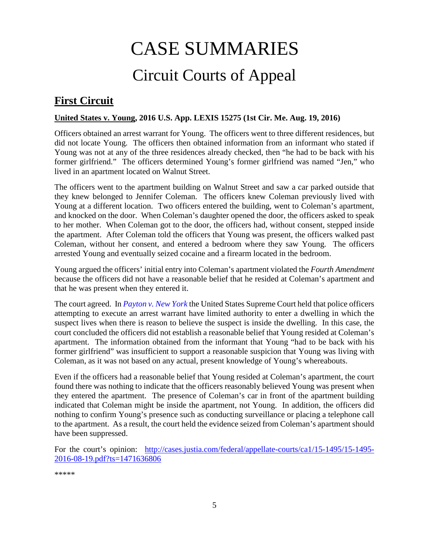# CASE SUMMARIES Circuit Courts of Appeal

# <span id="page-4-1"></span><span id="page-4-0"></span>**First Circuit**

#### <span id="page-4-2"></span>**United States v. Young, 2016 U.S. App. LEXIS 15275 (1st Cir. Me. Aug. 19, 2016)**

Officers obtained an arrest warrant for Young. The officers went to three different residences, but did not locate Young. The officers then obtained information from an informant who stated if Young was not at any of the three residences already checked, then "he had to be back with his former girlfriend." The officers determined Young's former girlfriend was named "Jen," who lived in an apartment located on Walnut Street.

The officers went to the apartment building on Walnut Street and saw a car parked outside that they knew belonged to Jennifer Coleman. The officers knew Coleman previously lived with Young at a different location. Two officers entered the building, went to Coleman's apartment, and knocked on the door. When Coleman's daughter opened the door, the officers asked to speak to her mother. When Coleman got to the door, the officers had, without consent, stepped inside the apartment. After Coleman told the officers that Young was present, the officers walked past Coleman, without her consent, and entered a bedroom where they saw Young. The officers arrested Young and eventually seized cocaine and a firearm located in the bedroom.

Young argued the officers' initial entry into Coleman's apartment violated the *Fourth Amendment* because the officers did not have a reasonable belief that he resided at Coleman's apartment and that he was present when they entered it.

The court agreed. In *[Payton v. New York](https://supreme.justia.com/cases/federal/us/445/573/case.html)* the United States Supreme Court held that police officers attempting to execute an arrest warrant have limited authority to enter a dwelling in which the suspect lives when there is reason to believe the suspect is inside the dwelling. In this case, the court concluded the officers did not establish a reasonable belief that Young resided at Coleman's apartment. The information obtained from the informant that Young "had to be back with his former girlfriend" was insufficient to support a reasonable suspicion that Young was living with Coleman, as it was not based on any actual, present knowledge of Young's whereabouts.

Even if the officers had a reasonable belief that Young resided at Coleman's apartment, the court found there was nothing to indicate that the officers reasonably believed Young was present when they entered the apartment. The presence of Coleman's car in front of the apartment building indicated that Coleman might be inside the apartment, not Young. In addition, the officers did nothing to confirm Young's presence such as conducting surveillance or placing a telephone call to the apartment. As a result, the court held the evidence seized from Coleman's apartment should have been suppressed.

For the court's opinion: [http://cases.justia.com/federal/appellate-courts/ca1/15-1495/15-1495-](http://cases.justia.com/federal/appellate-courts/ca1/15-1495/15-1495-2016-08-19.pdf?ts=1471636806) [2016-08-19.pdf?ts=1471636806](http://cases.justia.com/federal/appellate-courts/ca1/15-1495/15-1495-2016-08-19.pdf?ts=1471636806)

\*\*\*\*\*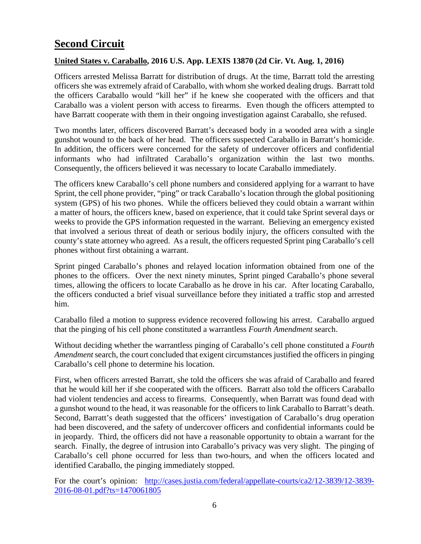# <span id="page-5-0"></span>**Second Circuit**

#### <span id="page-5-1"></span>**United States v. Caraballo, 2016 U.S. App. LEXIS 13870 (2d Cir. Vt. Aug. 1, 2016)**

Officers arrested Melissa Barratt for distribution of drugs. At the time, Barratt told the arresting officers she was extremely afraid of Caraballo, with whom she worked dealing drugs. Barratt told the officers Caraballo would "kill her" if he knew she cooperated with the officers and that Caraballo was a violent person with access to firearms. Even though the officers attempted to have Barratt cooperate with them in their ongoing investigation against Caraballo, she refused.

Two months later, officers discovered Barratt's deceased body in a wooded area with a single gunshot wound to the back of her head. The officers suspected Caraballo in Barratt's homicide. In addition, the officers were concerned for the safety of undercover officers and confidential informants who had infiltrated Caraballo's organization within the last two months. Consequently, the officers believed it was necessary to locate Caraballo immediately.

The officers knew Caraballo's cell phone numbers and considered applying for a warrant to have Sprint, the cell phone provider, "ping" or track Caraballo's location through the global positioning system (GPS) of his two phones. While the officers believed they could obtain a warrant within a matter of hours, the officers knew, based on experience, that it could take Sprint several days or weeks to provide the GPS information requested in the warrant. Believing an emergency existed that involved a serious threat of death or serious bodily injury, the officers consulted with the county's state attorney who agreed. As a result, the officers requested Sprint ping Caraballo's cell phones without first obtaining a warrant.

Sprint pinged Caraballo's phones and relayed location information obtained from one of the phones to the officers. Over the next ninety minutes, Sprint pinged Caraballo's phone several times, allowing the officers to locate Caraballo as he drove in his car. After locating Caraballo, the officers conducted a brief visual surveillance before they initiated a traffic stop and arrested him.

Caraballo filed a motion to suppress evidence recovered following his arrest. Caraballo argued that the pinging of his cell phone constituted a warrantless *Fourth Amendment* search.

Without deciding whether the warrantless pinging of Caraballo's cell phone constituted a *Fourth Amendment* search, the court concluded that exigent circumstances justified the officers in pinging Caraballo's cell phone to determine his location.

First, when officers arrested Barratt, she told the officers she was afraid of Caraballo and feared that he would kill her if she cooperated with the officers. Barratt also told the officers Caraballo had violent tendencies and access to firearms. Consequently, when Barratt was found dead with a gunshot wound to the head, it was reasonable for the officers to link Caraballo to Barratt's death. Second, Barratt's death suggested that the officers' investigation of Caraballo's drug operation had been discovered, and the safety of undercover officers and confidential informants could be in jeopardy. Third, the officers did not have a reasonable opportunity to obtain a warrant for the search. Finally, the degree of intrusion into Caraballo's privacy was very slight. The pinging of Caraballo's cell phone occurred for less than two-hours, and when the officers located and identified Caraballo, the pinging immediately stopped.

For the court's opinion: [http://cases.justia.com/federal/appellate-courts/ca2/12-3839/12-3839-](http://cases.justia.com/federal/appellate-courts/ca2/12-3839/12-3839-2016-08-01.pdf?ts=1470061805) [2016-08-01.pdf?ts=1470061805](http://cases.justia.com/federal/appellate-courts/ca2/12-3839/12-3839-2016-08-01.pdf?ts=1470061805)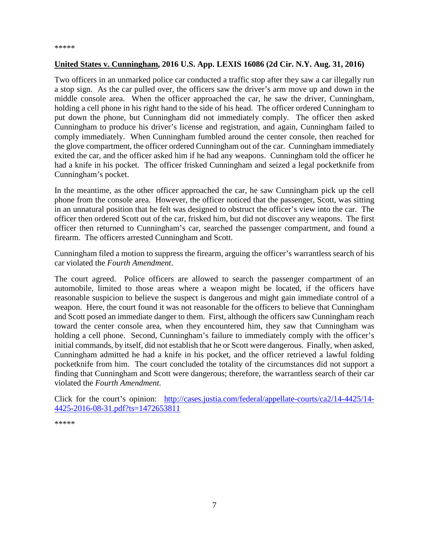#### <span id="page-6-0"></span>**United States v. Cunningham, 2016 U.S. App. LEXIS 16086 (2d Cir. N.Y. Aug. 31, 2016)**

Two officers in an unmarked police car conducted a traffic stop after they saw a car illegally run a stop sign. As the car pulled over, the officers saw the driver's arm move up and down in the middle console area. When the officer approached the car, he saw the driver, Cunningham, holding a cell phone in his right hand to the side of his head. The officer ordered Cunningham to put down the phone, but Cunningham did not immediately comply. The officer then asked Cunningham to produce his driver's license and registration, and again, Cunningham failed to comply immediately. When Cunningham fumbled around the center console, then reached for the glove compartment, the officer ordered Cunningham out of the car. Cunningham immediately exited the car, and the officer asked him if he had any weapons. Cunningham told the officer he had a knife in his pocket. The officer frisked Cunningham and seized a legal pocketknife from Cunningham's pocket.

In the meantime, as the other officer approached the car, he saw Cunningham pick up the cell phone from the console area. However, the officer noticed that the passenger, Scott, was sitting in an unnatural position that he felt was designed to obstruct the officer's view into the car. The officer then ordered Scott out of the car, frisked him, but did not discover any weapons. The first officer then returned to Cunningham's car, searched the passenger compartment, and found a firearm. The officers arrested Cunningham and Scott.

Cunningham filed a motion to suppress the firearm, arguing the officer's warrantless search of his car violated the *Fourth Amendment*.

The court agreed. Police officers are allowed to search the passenger compartment of an automobile, limited to those areas where a weapon might be located, if the officers have reasonable suspicion to believe the suspect is dangerous and might gain immediate control of a weapon. Here, the court found it was not reasonable for the officers to believe that Cunningham and Scott posed an immediate danger to them. First, although the officers saw Cunningham reach toward the center console area, when they encountered him, they saw that Cunningham was holding a cell phone. Second, Cunningham's failure to immediately comply with the officer's initial commands, by itself, did not establish that he or Scott were dangerous. Finally, when asked, Cunningham admitted he had a knife in his pocket, and the officer retrieved a lawful folding pocketknife from him. The court concluded the totality of the circumstances did not support a finding that Cunningham and Scott were dangerous; therefore, the warrantless search of their car violated the *Fourth Amendment*.

Click for the court's opinion: [http://cases.justia.com/federal/appellate-courts/ca2/14-4425/14-](http://cases.justia.com/federal/appellate-courts/ca2/14-4425/14-4425-2016-08-31.pdf?ts=1472653811) [4425-2016-08-31.pdf?ts=1472653811](http://cases.justia.com/federal/appellate-courts/ca2/14-4425/14-4425-2016-08-31.pdf?ts=1472653811)

\*\*\*\*\*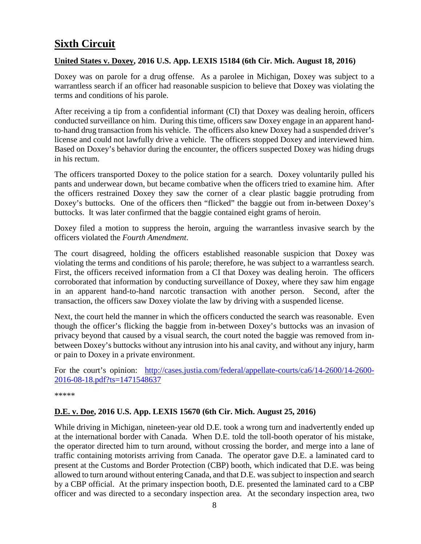# <span id="page-7-0"></span>**Sixth Circuit**

#### <span id="page-7-1"></span>**United States v. Doxey, 2016 U.S. App. LEXIS 15184 (6th Cir. Mich. August 18, 2016)**

Doxey was on parole for a drug offense. As a parolee in Michigan, Doxey was subject to a warrantless search if an officer had reasonable suspicion to believe that Doxey was violating the terms and conditions of his parole.

After receiving a tip from a confidential informant (CI) that Doxey was dealing heroin, officers conducted surveillance on him. During this time, officers saw Doxey engage in an apparent handto-hand drug transaction from his vehicle. The officers also knew Doxey had a suspended driver's license and could not lawfully drive a vehicle. The officers stopped Doxey and interviewed him. Based on Doxey's behavior during the encounter, the officers suspected Doxey was hiding drugs in his rectum.

The officers transported Doxey to the police station for a search. Doxey voluntarily pulled his pants and underwear down, but became combative when the officers tried to examine him. After the officers restrained Doxey they saw the corner of a clear plastic baggie protruding from Doxey's buttocks. One of the officers then "flicked" the baggie out from in-between Doxey's buttocks. It was later confirmed that the baggie contained eight grams of heroin.

Doxey filed a motion to suppress the heroin, arguing the warrantless invasive search by the officers violated the *Fourth Amendment*.

The court disagreed, holding the officers established reasonable suspicion that Doxey was violating the terms and conditions of his parole; therefore, he was subject to a warrantless search. First, the officers received information from a CI that Doxey was dealing heroin. The officers corroborated that information by conducting surveillance of Doxey, where they saw him engage in an apparent hand-to-hand narcotic transaction with another person. Second, after the transaction, the officers saw Doxey violate the law by driving with a suspended license.

Next, the court held the manner in which the officers conducted the search was reasonable. Even though the officer's flicking the baggie from in-between Doxey's buttocks was an invasion of privacy beyond that caused by a visual search, the court noted the baggie was removed from inbetween Doxey's buttocks without any intrusion into his anal cavity, and without any injury, harm or pain to Doxey in a private environment.

For the court's opinion: [http://cases.justia.com/federal/appellate-courts/ca6/14-2600/14-2600-](http://cases.justia.com/federal/appellate-courts/ca6/14-2600/14-2600-2016-08-18.pdf?ts=1471548637) [2016-08-18.pdf?ts=1471548637](http://cases.justia.com/federal/appellate-courts/ca6/14-2600/14-2600-2016-08-18.pdf?ts=1471548637)

\*\*\*\*\*

#### <span id="page-7-2"></span>**D.E. v. Doe, 2016 U.S. App. LEXIS 15670 (6th Cir. Mich. August 25, 2016)**

While driving in Michigan, nineteen-year old D.E. took a wrong turn and inadvertently ended up at the international border with Canada. When D.E. told the toll-booth operator of his mistake, the operator directed him to turn around, without crossing the border, and merge into a lane of traffic containing motorists arriving from Canada. The operator gave D.E. a laminated card to present at the Customs and Border Protection (CBP) booth, which indicated that D.E. was being allowed to turn around without entering Canada, and that D.E. was subject to inspection and search by a CBP official. At the primary inspection booth, D.E. presented the laminated card to a CBP officer and was directed to a secondary inspection area. At the secondary inspection area, two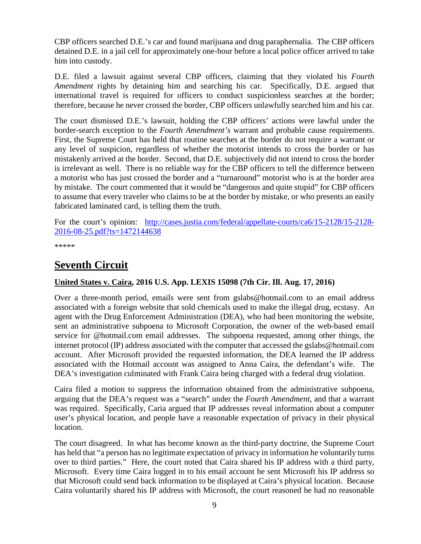CBP officers searched D.E.'s car and found marijuana and drug paraphernalia. The CBP officers detained D.E. in a jail cell for approximately one-hour before a local police officer arrived to take him into custody.

D.E. filed a lawsuit against several CBP officers, claiming that they violated his *Fourth Amendment* rights by detaining him and searching his car. Specifically, D.E. argued that international travel is required for officers to conduct suspicionless searches at the border; therefore, because he never crossed the border, CBP officers unlawfully searched him and his car.

The court dismissed D.E.'s lawsuit, holding the CBP officers' actions were lawful under the border-search exception to the *Fourth Amendment's* warrant and probable cause requirements. First, the Supreme Court has held that routine searches at the border do not require a warrant or any level of suspicion, regardless of whether the motorist intends to cross the border or has mistakenly arrived at the border. Second, that D.E. subjectively did not intend to cross the border is irrelevant as well. There is no reliable way for the CBP officers to tell the difference between a motorist who has just crossed the border and a "turnaround" motorist who is at the border area by mistake. The court commented that it would be "dangerous and quite stupid" for CBP officers to assume that every traveler who claims to be at the border by mistake, or who presents an easily fabricated laminated card, is telling them the truth.

For the court's opinion: [http://cases.justia.com/federal/appellate-courts/ca6/15-2128/15-2128-](http://cases.justia.com/federal/appellate-courts/ca6/15-2128/15-2128-2016-08-25.pdf?ts=1472144638) [2016-08-25.pdf?ts=1472144638](http://cases.justia.com/federal/appellate-courts/ca6/15-2128/15-2128-2016-08-25.pdf?ts=1472144638)

\*\*\*\*\*

# <span id="page-8-0"></span>**Seventh Circuit**

#### <span id="page-8-1"></span>**United States v. Caira, 2016 U.S. App. LEXIS 15098 (7th Cir. Ill. Aug. 17, 2016)**

Over a three-month period, emails were sent from gslabs@hotmail.com to an email address associated with a foreign website that sold chemicals used to make the illegal drug, ecstasy. An agent with the Drug Enforcement Administration (DEA), who had been monitoring the website, sent an administrative subpoena to Microsoft Corporation, the owner of the web-based email service for @hotmail.com email addresses. The subpoena requested, among other things, the internet protocol (IP) address associated with the computer that accessed the gslabs@hotmail.com account. After Microsoft provided the requested information, the DEA learned the IP address associated with the Hotmail account was assigned to Anna Caira, the defendant's wife. The DEA's investigation culminated with Frank Caira being charged with a federal drug violation.

Caira filed a motion to suppress the information obtained from the administrative subpoena, arguing that the DEA's request was a "search" under the *Fourth Amendment*, and that a warrant was required. Specifically, Caria argued that IP addresses reveal information about a computer user's physical location, and people have a reasonable expectation of privacy in their physical location.

The court disagreed. In what has become known as the third-party doctrine, the Supreme Court has held that "a person has no legitimate expectation of privacy in information he voluntarily turns over to third parties." Here, the court noted that Caira shared his IP address with a third party, Microsoft. Every time Caira logged in to his email account he sent Microsoft his IP address so that Microsoft could send back information to be displayed at Caira's physical location. Because Caira voluntarily shared his IP address with Microsoft, the court reasoned he had no reasonable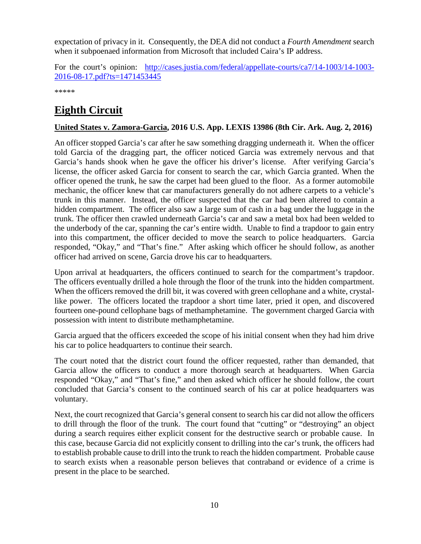expectation of privacy in it. Consequently, the DEA did not conduct a *Fourth Amendment* search when it subpoenaed information from Microsoft that included Caira's IP address.

For the court's opinion: [http://cases.justia.com/federal/appellate-courts/ca7/14-1003/14-1003-](http://cases.justia.com/federal/appellate-courts/ca7/14-1003/14-1003-2016-08-17.pdf?ts=1471453445) [2016-08-17.pdf?ts=1471453445](http://cases.justia.com/federal/appellate-courts/ca7/14-1003/14-1003-2016-08-17.pdf?ts=1471453445)

\*\*\*\*\*

# <span id="page-9-0"></span>**Eighth Circuit**

#### <span id="page-9-1"></span>**United States v. Zamora-Garcia, 2016 U.S. App. LEXIS 13986 (8th Cir. Ark. Aug. 2, 2016)**

An officer stopped Garcia's car after he saw something dragging underneath it. When the officer told Garcia of the dragging part, the officer noticed Garcia was extremely nervous and that Garcia's hands shook when he gave the officer his driver's license. After verifying Garcia's license, the officer asked Garcia for consent to search the car, which Garcia granted. When the officer opened the trunk, he saw the carpet had been glued to the floor. As a former automobile mechanic, the officer knew that car manufacturers generally do not adhere carpets to a vehicle's trunk in this manner. Instead, the officer suspected that the car had been altered to contain a hidden compartment. The officer also saw a large sum of cash in a bag under the luggage in the trunk. The officer then crawled underneath Garcia's car and saw a metal box had been welded to the underbody of the car, spanning the car's entire width. Unable to find a trapdoor to gain entry into this compartment, the officer decided to move the search to police headquarters. Garcia responded, "Okay," and "That's fine." After asking which officer he should follow, as another officer had arrived on scene, Garcia drove his car to headquarters.

Upon arrival at headquarters, the officers continued to search for the compartment's trapdoor. The officers eventually drilled a hole through the floor of the trunk into the hidden compartment. When the officers removed the drill bit, it was covered with green cellophane and a white, crystallike power. The officers located the trapdoor a short time later, pried it open, and discovered fourteen one-pound cellophane bags of methamphetamine. The government charged Garcia with possession with intent to distribute methamphetamine.

Garcia argued that the officers exceeded the scope of his initial consent when they had him drive his car to police headquarters to continue their search.

The court noted that the district court found the officer requested, rather than demanded, that Garcia allow the officers to conduct a more thorough search at headquarters. When Garcia responded "Okay," and "That's fine," and then asked which officer he should follow, the court concluded that Garcia's consent to the continued search of his car at police headquarters was voluntary.

Next, the court recognized that Garcia's general consent to search his car did not allow the officers to drill through the floor of the trunk. The court found that "cutting" or "destroying" an object during a search requires either explicit consent for the destructive search or probable cause. In this case, because Garcia did not explicitly consent to drilling into the car's trunk, the officers had to establish probable cause to drill into the trunk to reach the hidden compartment. Probable cause to search exists when a reasonable person believes that contraband or evidence of a crime is present in the place to be searched.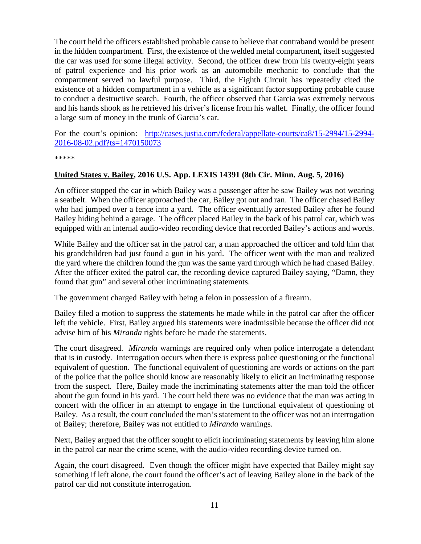The court held the officers established probable cause to believe that contraband would be present in the hidden compartment. First, the existence of the welded metal compartment, itself suggested the car was used for some illegal activity. Second, the officer drew from his twenty-eight years of patrol experience and his prior work as an automobile mechanic to conclude that the compartment served no lawful purpose. Third, the Eighth Circuit has repeatedly cited the existence of a hidden compartment in a vehicle as a significant factor supporting probable cause to conduct a destructive search. Fourth, the officer observed that Garcia was extremely nervous and his hands shook as he retrieved his driver's license from his wallet. Finally, the officer found a large sum of money in the trunk of Garcia's car.

For the court's opinion: [http://cases.justia.com/federal/appellate-courts/ca8/15-2994/15-2994-](http://cases.justia.com/federal/appellate-courts/ca8/15-2994/15-2994-2016-08-02.pdf?ts=1470150073) [2016-08-02.pdf?ts=1470150073](http://cases.justia.com/federal/appellate-courts/ca8/15-2994/15-2994-2016-08-02.pdf?ts=1470150073)

\*\*\*\*\*

#### <span id="page-10-0"></span>**United States v. Bailey, 2016 U.S. App. LEXIS 14391 (8th Cir. Minn. Aug. 5, 2016)**

An officer stopped the car in which Bailey was a passenger after he saw Bailey was not wearing a seatbelt. When the officer approached the car, Bailey got out and ran. The officer chased Bailey who had jumped over a fence into a yard. The officer eventually arrested Bailey after he found Bailey hiding behind a garage. The officer placed Bailey in the back of his patrol car, which was equipped with an internal audio-video recording device that recorded Bailey's actions and words.

While Bailey and the officer sat in the patrol car, a man approached the officer and told him that his grandchildren had just found a gun in his yard. The officer went with the man and realized the yard where the children found the gun was the same yard through which he had chased Bailey. After the officer exited the patrol car, the recording device captured Bailey saying, "Damn, they found that gun" and several other incriminating statements.

The government charged Bailey with being a felon in possession of a firearm.

Bailey filed a motion to suppress the statements he made while in the patrol car after the officer left the vehicle. First, Bailey argued his statements were inadmissible because the officer did not advise him of his *Miranda* rights before he made the statements.

The court disagreed. *Miranda* warnings are required only when police interrogate a defendant that is in custody. Interrogation occurs when there is express police questioning or the functional equivalent of question. The functional equivalent of questioning are words or actions on the part of the police that the police should know are reasonably likely to elicit an incriminating response from the suspect. Here, Bailey made the incriminating statements after the man told the officer about the gun found in his yard. The court held there was no evidence that the man was acting in concert with the officer in an attempt to engage in the functional equivalent of questioning of Bailey. As a result, the court concluded the man's statement to the officer was not an interrogation of Bailey; therefore, Bailey was not entitled to *Miranda* warnings.

Next, Bailey argued that the officer sought to elicit incriminating statements by leaving him alone in the patrol car near the crime scene, with the audio-video recording device turned on.

Again, the court disagreed. Even though the officer might have expected that Bailey might say something if left alone, the court found the officer's act of leaving Bailey alone in the back of the patrol car did not constitute interrogation.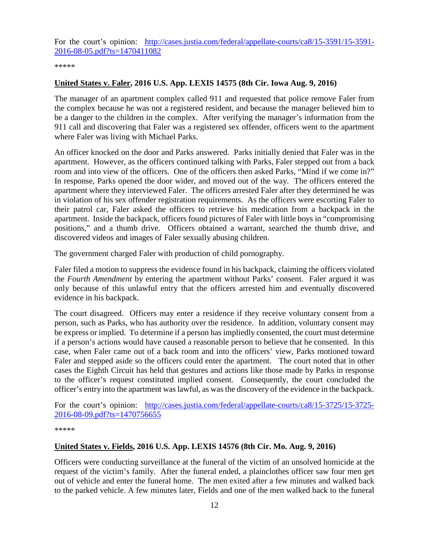For the court's opinion: [http://cases.justia.com/federal/appellate-courts/ca8/15-3591/15-3591-](http://cases.justia.com/federal/appellate-courts/ca8/15-3591/15-3591-2016-08-05.pdf?ts=1470411082) [2016-08-05.pdf?ts=1470411082](http://cases.justia.com/federal/appellate-courts/ca8/15-3591/15-3591-2016-08-05.pdf?ts=1470411082)

\*\*\*\*\*

#### <span id="page-11-0"></span>**United States v. Faler, 2016 U.S. App. LEXIS 14575 (8th Cir. Iowa Aug. 9, 2016)**

The manager of an apartment complex called 911 and requested that police remove Faler from the complex because he was not a registered resident, and because the manager believed him to be a danger to the children in the complex. After verifying the manager's information from the 911 call and discovering that Faler was a registered sex offender, officers went to the apartment where Faler was living with Michael Parks.

An officer knocked on the door and Parks answered. Parks initially denied that Faler was in the apartment. However, as the officers continued talking with Parks, Faler stepped out from a back room and into view of the officers. One of the officers then asked Parks, "Mind if we come in?" In response, Parks opened the door wider, and moved out of the way. The officers entered the apartment where they interviewed Faler. The officers arrested Faler after they determined he was in violation of his sex offender registration requirements. As the officers were escorting Faler to their patrol car, Faler asked the officers to retrieve his medication from a backpack in the apartment. Inside the backpack, officers found pictures of Faler with little boys in "compromising positions," and a thumb drive. Officers obtained a warrant, searched the thumb drive, and discovered videos and images of Faler sexually abusing children.

The government charged Faler with production of child pornography.

Faler filed a motion to suppress the evidence found in his backpack, claiming the officers violated the *Fourth Amendment* by entering the apartment without Parks' consent. Faler argued it was only because of this unlawful entry that the officers arrested him and eventually discovered evidence in his backpack.

The court disagreed. Officers may enter a residence if they receive voluntary consent from a person, such as Parks, who has authority over the residence. In addition, voluntary consent may be express or implied. To determine if a person has impliedly consented, the court must determine if a person's actions would have caused a reasonable person to believe that he consented. In this case, when Faler came out of a back room and into the officers' view, Parks motioned toward Faler and stepped aside so the officers could enter the apartment. The court noted that in other cases the Eighth Circuit has held that gestures and actions like those made by Parks in response to the officer's request constituted implied consent. Consequently, the court concluded the officer's entry into the apartment was lawful, as was the discovery of the evidence in the backpack.

For the court's opinion: [http://cases.justia.com/federal/appellate-courts/ca8/15-3725/15-3725-](http://cases.justia.com/federal/appellate-courts/ca8/15-3725/15-3725-2016-08-09.pdf?ts=1470756655) [2016-08-09.pdf?ts=1470756655](http://cases.justia.com/federal/appellate-courts/ca8/15-3725/15-3725-2016-08-09.pdf?ts=1470756655)

\*\*\*\*\*

#### <span id="page-11-1"></span>**United States v. Fields, 2016 U.S. App. LEXIS 14576 (8th Cir. Mo. Aug. 9, 2016)**

Officers were conducting surveillance at the funeral of the victim of an unsolved homicide at the request of the victim's family. After the funeral ended, a plainclothes officer saw four men get out of vehicle and enter the funeral home. The men exited after a few minutes and walked back to the parked vehicle. A few minutes later, Fields and one of the men walked back to the funeral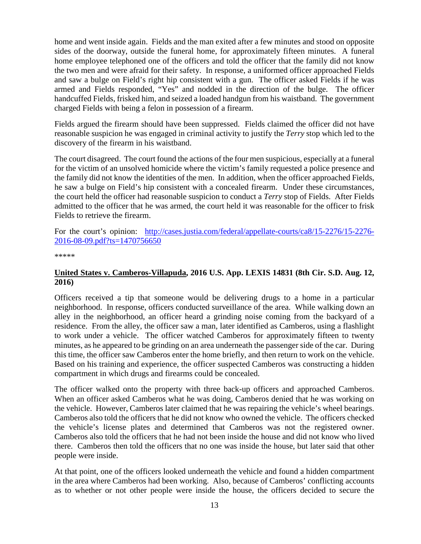home and went inside again. Fields and the man exited after a few minutes and stood on opposite sides of the doorway, outside the funeral home, for approximately fifteen minutes. A funeral home employee telephoned one of the officers and told the officer that the family did not know the two men and were afraid for their safety. In response, a uniformed officer approached Fields and saw a bulge on Field's right hip consistent with a gun. The officer asked Fields if he was armed and Fields responded, "Yes" and nodded in the direction of the bulge. The officer handcuffed Fields, frisked him, and seized a loaded handgun from his waistband. The government charged Fields with being a felon in possession of a firearm.

Fields argued the firearm should have been suppressed. Fields claimed the officer did not have reasonable suspicion he was engaged in criminal activity to justify the *Terry* stop which led to the discovery of the firearm in his waistband.

The court disagreed. The court found the actions of the four men suspicious, especially at a funeral for the victim of an unsolved homicide where the victim's family requested a police presence and the family did not know the identities of the men. In addition, when the officer approached Fields, he saw a bulge on Field's hip consistent with a concealed firearm. Under these circumstances, the court held the officer had reasonable suspicion to conduct a *Terry* stop of Fields. After Fields admitted to the officer that he was armed, the court held it was reasonable for the officer to frisk Fields to retrieve the firearm.

For the court's opinion: [http://cases.justia.com/federal/appellate-courts/ca8/15-2276/15-2276-](http://cases.justia.com/federal/appellate-courts/ca8/15-2276/15-2276-2016-08-09.pdf?ts=1470756650) [2016-08-09.pdf?ts=1470756650](http://cases.justia.com/federal/appellate-courts/ca8/15-2276/15-2276-2016-08-09.pdf?ts=1470756650)

\*\*\*\*\*

#### <span id="page-12-0"></span>**United States v. Camberos-Villapuda, 2016 U.S. App. LEXIS 14831 (8th Cir. S.D. Aug. 12, 2016)**

Officers received a tip that someone would be delivering drugs to a home in a particular neighborhood. In response, officers conducted surveillance of the area. While walking down an alley in the neighborhood, an officer heard a grinding noise coming from the backyard of a residence. From the alley, the officer saw a man, later identified as Camberos, using a flashlight to work under a vehicle. The officer watched Camberos for approximately fifteen to twenty minutes, as he appeared to be grinding on an area underneath the passenger side of the car. During this time, the officer saw Camberos enter the home briefly, and then return to work on the vehicle. Based on his training and experience, the officer suspected Camberos was constructing a hidden compartment in which drugs and firearms could be concealed.

The officer walked onto the property with three back-up officers and approached Camberos. When an officer asked Camberos what he was doing, Camberos denied that he was working on the vehicle. However, Camberos later claimed that he was repairing the vehicle's wheel bearings. Camberos also told the officers that he did not know who owned the vehicle. The officers checked the vehicle's license plates and determined that Camberos was not the registered owner. Camberos also told the officers that he had not been inside the house and did not know who lived there. Camberos then told the officers that no one was inside the house, but later said that other people were inside.

At that point, one of the officers looked underneath the vehicle and found a hidden compartment in the area where Camberos had been working. Also, because of Camberos' conflicting accounts as to whether or not other people were inside the house, the officers decided to secure the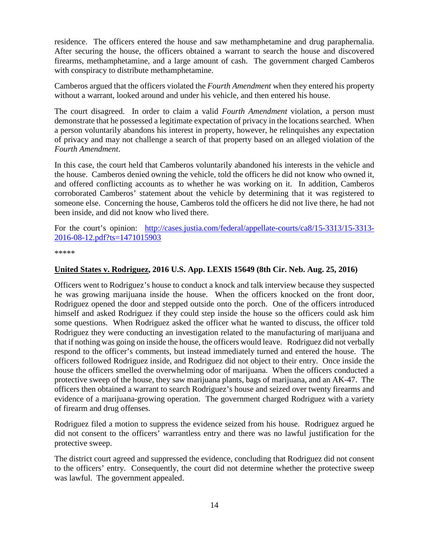residence. The officers entered the house and saw methamphetamine and drug paraphernalia. After securing the house, the officers obtained a warrant to search the house and discovered firearms, methamphetamine, and a large amount of cash. The government charged Camberos with conspiracy to distribute methamphetamine.

Camberos argued that the officers violated the *Fourth Amendment* when they entered his property without a warrant, looked around and under his vehicle, and then entered his house.

The court disagreed. In order to claim a valid *Fourth Amendment* violation, a person must demonstrate that he possessed a legitimate expectation of privacy in the locations searched. When a person voluntarily abandons his interest in property, however, he relinquishes any expectation of privacy and may not challenge a search of that property based on an alleged violation of the *Fourth Amendment*.

In this case, the court held that Camberos voluntarily abandoned his interests in the vehicle and the house. Camberos denied owning the vehicle, told the officers he did not know who owned it, and offered conflicting accounts as to whether he was working on it. In addition, Camberos corroborated Camberos' statement about the vehicle by determining that it was registered to someone else. Concerning the house, Camberos told the officers he did not live there, he had not been inside, and did not know who lived there.

For the court's opinion: [http://cases.justia.com/federal/appellate-courts/ca8/15-3313/15-3313-](http://cases.justia.com/federal/appellate-courts/ca8/15-3313/15-3313-2016-08-12.pdf?ts=1471015903) [2016-08-12.pdf?ts=1471015903](http://cases.justia.com/federal/appellate-courts/ca8/15-3313/15-3313-2016-08-12.pdf?ts=1471015903)

\*\*\*\*\*

#### <span id="page-13-0"></span>**United States v. Rodriguez, 2016 U.S. App. LEXIS 15649 (8th Cir. Neb. Aug. 25, 2016)**

Officers went to Rodriguez's house to conduct a knock and talk interview because they suspected he was growing marijuana inside the house. When the officers knocked on the front door, Rodriguez opened the door and stepped outside onto the porch. One of the officers introduced himself and asked Rodriguez if they could step inside the house so the officers could ask him some questions. When Rodriguez asked the officer what he wanted to discuss, the officer told Rodriguez they were conducting an investigation related to the manufacturing of marijuana and that if nothing was going on inside the house, the officers would leave. Rodriguez did not verbally respond to the officer's comments, but instead immediately turned and entered the house. The officers followed Rodriguez inside, and Rodriguez did not object to their entry. Once inside the house the officers smelled the overwhelming odor of marijuana. When the officers conducted a protective sweep of the house, they saw marijuana plants, bags of marijuana, and an AK-47. The officers then obtained a warrant to search Rodriguez's house and seized over twenty firearms and evidence of a marijuana-growing operation. The government charged Rodriguez with a variety of firearm and drug offenses.

Rodriguez filed a motion to suppress the evidence seized from his house. Rodriguez argued he did not consent to the officers' warrantless entry and there was no lawful justification for the protective sweep.

The district court agreed and suppressed the evidence, concluding that Rodriguez did not consent to the officers' entry. Consequently, the court did not determine whether the protective sweep was lawful. The government appealed.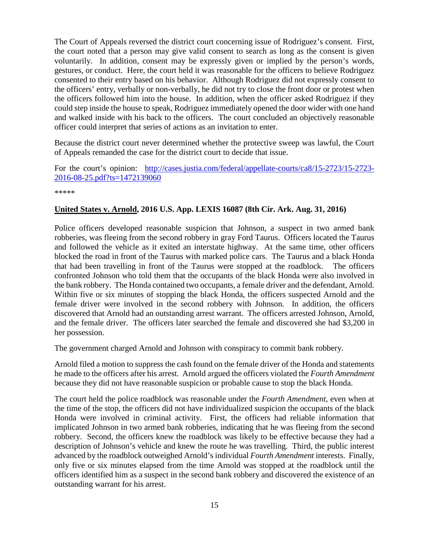The Court of Appeals reversed the district court concerning issue of Rodriguez's consent. First, the court noted that a person may give valid consent to search as long as the consent is given voluntarily. In addition, consent may be expressly given or implied by the person's words, gestures, or conduct. Here, the court held it was reasonable for the officers to believe Rodriguez consented to their entry based on his behavior. Although Rodriguez did not expressly consent to the officers' entry, verbally or non-verbally, he did not try to close the front door or protest when the officers followed him into the house. In addition, when the officer asked Rodriguez if they could step inside the house to speak, Rodriguez immediately opened the door wider with one hand and walked inside with his back to the officers. The court concluded an objectively reasonable officer could interpret that series of actions as an invitation to enter.

Because the district court never determined whether the protective sweep was lawful, the Court of Appeals remanded the case for the district court to decide that issue.

For the court's opinion: [http://cases.justia.com/federal/appellate-courts/ca8/15-2723/15-2723-](http://cases.justia.com/federal/appellate-courts/ca8/15-2723/15-2723-2016-08-25.pdf?ts=1472139060) [2016-08-25.pdf?ts=1472139060](http://cases.justia.com/federal/appellate-courts/ca8/15-2723/15-2723-2016-08-25.pdf?ts=1472139060)

\*\*\*\*\*

#### <span id="page-14-0"></span>**United States v. Arnold, 2016 U.S. App. LEXIS 16087 (8th Cir. Ark. Aug. 31, 2016)**

Police officers developed reasonable suspicion that Johnson, a suspect in two armed bank robberies, was fleeing from the second robbery in gray Ford Taurus. Officers located the Taurus and followed the vehicle as it exited an interstate highway. At the same time, other officers blocked the road in front of the Taurus with marked police cars. The Taurus and a black Honda that had been travelling in front of the Taurus were stopped at the roadblock. The officers confronted Johnson who told them that the occupants of the black Honda were also involved in the bank robbery. The Honda contained two occupants, a female driver and the defendant, Arnold. Within five or six minutes of stopping the black Honda, the officers suspected Arnold and the female driver were involved in the second robbery with Johnson. In addition, the officers discovered that Arnold had an outstanding arrest warrant. The officers arrested Johnson, Arnold, and the female driver. The officers later searched the female and discovered she had \$3,200 in her possession.

The government charged Arnold and Johnson with conspiracy to commit bank robbery.

Arnold filed a motion to suppress the cash found on the female driver of the Honda and statements he made to the officers after his arrest. Arnold argued the officers violated the *Fourth Amendment* because they did not have reasonable suspicion or probable cause to stop the black Honda.

The court held the police roadblock was reasonable under the *Fourth Amendment*, even when at the time of the stop, the officers did not have individualized suspicion the occupants of the black Honda were involved in criminal activity. First, the officers had reliable information that implicated Johnson in two armed bank robberies, indicating that he was fleeing from the second robbery. Second, the officers knew the roadblock was likely to be effective because they had a description of Johnson's vehicle and knew the route he was travelling. Third, the public interest advanced by the roadblock outweighed Arnold's individual *Fourth Amendment* interests. Finally, only five or six minutes elapsed from the time Arnold was stopped at the roadblock until the officers identified him as a suspect in the second bank robbery and discovered the existence of an outstanding warrant for his arrest.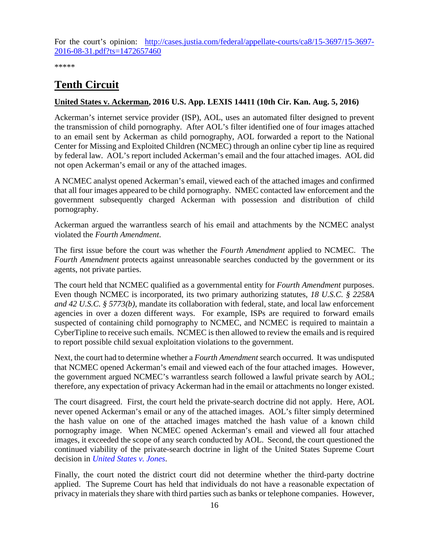For the court's opinion: [http://cases.justia.com/federal/appellate-courts/ca8/15-3697/15-3697-](http://cases.justia.com/federal/appellate-courts/ca8/15-3697/15-3697-2016-08-31.pdf?ts=1472657460) [2016-08-31.pdf?ts=1472657460](http://cases.justia.com/federal/appellate-courts/ca8/15-3697/15-3697-2016-08-31.pdf?ts=1472657460)

\*\*\*\*\*

# <span id="page-15-0"></span>**Tenth Circuit**

#### <span id="page-15-1"></span>**United States v. Ackerman, 2016 U.S. App. LEXIS 14411 (10th Cir. Kan. Aug. 5, 2016)**

Ackerman's internet service provider (ISP), AOL, uses an automated filter designed to prevent the transmission of child pornography. After AOL's filter identified one of four images attached to an email sent by Ackerman as child pornography, AOL forwarded a report to the National Center for Missing and Exploited Children (NCMEC) through an online cyber tip line as required by federal law. AOL's report included Ackerman's email and the four attached images. AOL did not open Ackerman's email or any of the attached images.

A NCMEC analyst opened Ackerman's email, viewed each of the attached images and confirmed that all four images appeared to be child pornography. NMEC contacted law enforcement and the government subsequently charged Ackerman with possession and distribution of child pornography.

Ackerman argued the warrantless search of his email and attachments by the NCMEC analyst violated the *Fourth Amendment*.

The first issue before the court was whether the *Fourth Amendment* applied to NCMEC. The *Fourth Amendment* protects against unreasonable searches conducted by the government or its agents, not private parties.

The court held that NCMEC qualified as a governmental entity for *Fourth Amendment* purposes. Even though NCMEC is incorporated, its two primary authorizing statutes, *18 U.S.C. § 2258A and 42 U.S.C. § 5773(b)*, mandate its collaboration with federal, state, and local law enforcement agencies in over a dozen different ways. For example, ISPs are required to forward emails suspected of containing child pornography to NCMEC, and NCMEC is required to maintain a CyberTipline to receive such emails. NCMEC is then allowed to review the emails and is required to report possible child sexual exploitation violations to the government.

Next, the court had to determine whether a *Fourth Amendment* search occurred. It was undisputed that NCMEC opened Ackerman's email and viewed each of the four attached images. However, the government argued NCMEC's warrantless search followed a lawful private search by AOL; therefore, any expectation of privacy Ackerman had in the email or attachments no longer existed.

The court disagreed. First, the court held the private-search doctrine did not apply. Here, AOL never opened Ackerman's email or any of the attached images. AOL's filter simply determined the hash value on one of the attached images matched the hash value of a known child pornography image. When NCMEC opened Ackerman's email and viewed all four attached images, it exceeded the scope of any search conducted by AOL. Second, the court questioned the continued viability of the private-search doctrine in light of the United States Supreme Court decision in *[United States](https://www.supremecourt.gov/opinions/11pdf/10-1259.pdf) v. Jones*.

Finally, the court noted the district court did not determine whether the third-party doctrine applied. The Supreme Court has held that individuals do not have a reasonable expectation of privacy in materials they share with third parties such as banks or telephone companies. However,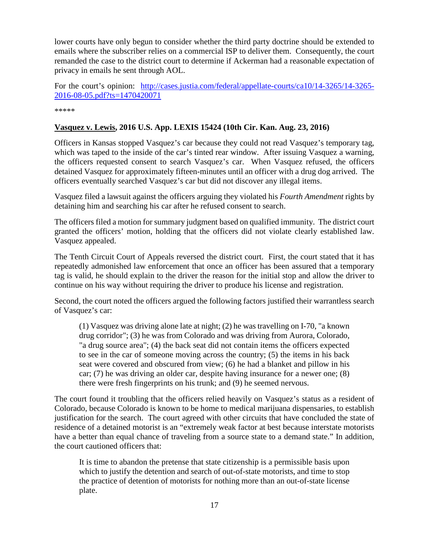lower courts have only begun to consider whether the third party doctrine should be extended to emails where the subscriber relies on a commercial ISP to deliver them. Consequently, the court remanded the case to the district court to determine if Ackerman had a reasonable expectation of privacy in emails he sent through AOL.

For the court's opinion: [http://cases.justia.com/federal/appellate-courts/ca10/14-3265/14-3265-](http://cases.justia.com/federal/appellate-courts/ca10/14-3265/14-3265-2016-08-05.pdf?ts=1470420071) [2016-08-05.pdf?ts=1470420071](http://cases.justia.com/federal/appellate-courts/ca10/14-3265/14-3265-2016-08-05.pdf?ts=1470420071)

\*\*\*\*\*

#### <span id="page-16-0"></span>**Vasquez v. Lewis, 2016 U.S. App. LEXIS 15424 (10th Cir. Kan. Aug. 23, 2016)**

Officers in Kansas stopped Vasquez's car because they could not read Vasquez's temporary tag, which was taped to the inside of the car's tinted rear window. After issuing Vasquez a warning, the officers requested consent to search Vasquez's car. When Vasquez refused, the officers detained Vasquez for approximately fifteen-minutes until an officer with a drug dog arrived. The officers eventually searched Vasquez's car but did not discover any illegal items.

Vasquez filed a lawsuit against the officers arguing they violated his *Fourth Amendment* rights by detaining him and searching his car after he refused consent to search.

The officers filed a motion for summary judgment based on qualified immunity. The district court granted the officers' motion, holding that the officers did not violate clearly established law. Vasquez appealed.

The Tenth Circuit Court of Appeals reversed the district court. First, the court stated that it has repeatedly admonished law enforcement that once an officer has been assured that a temporary tag is valid, he should explain to the driver the reason for the initial stop and allow the driver to continue on his way without requiring the driver to produce his license and registration.

Second, the court noted the officers argued the following factors justified their warrantless search of Vasquez's car:

(1) Vasquez was driving alone late at night; (2) he was travelling on I-70, "a known drug corridor"; (3) he was from Colorado and was driving from Aurora, Colorado, "a drug source area"; (4) the back seat did not contain items the officers expected to see in the car of someone moving across the country; (5) the items in his back seat were covered and obscured from view; (6) he had a blanket and pillow in his car; (7) he was driving an older car, despite having insurance for a newer one; (8) there were fresh fingerprints on his trunk; and (9) he seemed nervous.

The court found it troubling that the officers relied heavily on Vasquez's status as a resident of Colorado, because Colorado is known to be home to medical marijuana dispensaries, to establish justification for the search. The court agreed with other circuits that have concluded the state of residence of a detained motorist is an "extremely weak factor at best because interstate motorists have a better than equal chance of traveling from a source state to a demand state." In addition, the court cautioned officers that:

It is time to abandon the pretense that state citizenship is a permissible basis upon which to justify the detention and search of out-of-state motorists, and time to stop the practice of detention of motorists for nothing more than an out-of-state license plate.